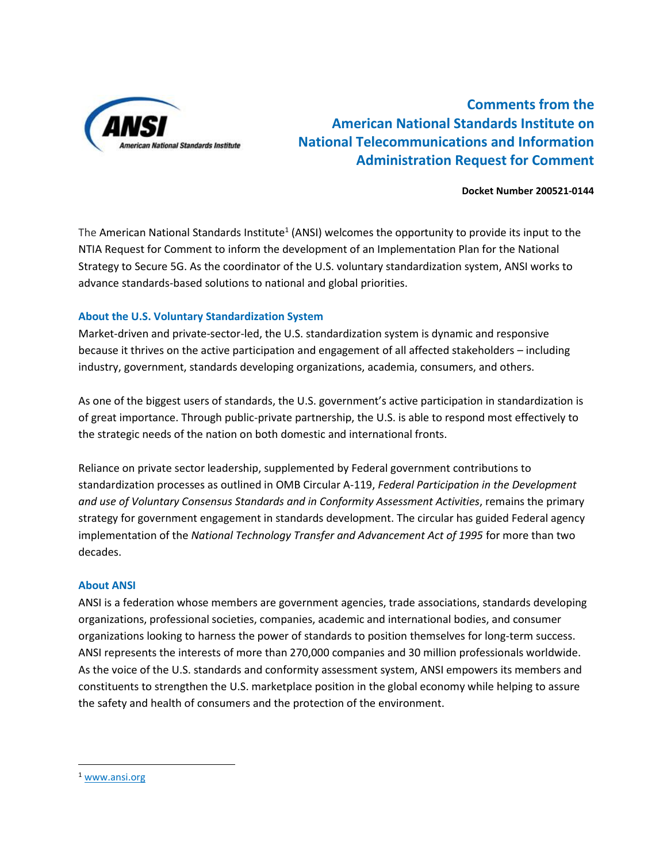

**Comments from the American National Standards Institute on National Telecommunications and Information Administration Request for Comment** 

#### **Docket Number 200521-0144**

The American National Standards Institute<sup>1</sup> (ANSI) welcomes the opportunity to provide its input to the NTIA Request for Comment to inform the development of an Implementation Plan for the National Strategy to Secure 5G. As the coordinator of the U.S. voluntary standardization system, ANSI works to advance standards-based solutions to national and global priorities.

## **About the U.S. Voluntary Standardization System**

Market-driven and private-sector-led, the U.S. standardization system is dynamic and responsive because it thrives on the active participation and engagement of all affected stakeholders – including industry, government, standards developing organizations, academia, consumers, and others.

As one of the biggest users of standards, the U.S. government's active participation in standardization is of great importance. Through public-private partnership, the U.S. is able to respond most effectively to the strategic needs of the nation on both domestic and international fronts.

Reliance on private sector leadership, supplemented by Federal government contributions to standardization processes as outlined in OMB Circular A-119, *Federal Participation in the Development and use of Voluntary Consensus Standards and in Conformity Assessment Activities*, remains the primary strategy for government engagement in standards development. The circular has guided Federal agency implementation of the *National Technology Transfer and Advancement Act of 1995* for more than two decades.

## **About ANSI**

ANSI is a federation whose members are government agencies, trade associations, standards developing organizations, professional societies, companies, academic and international bodies, and consumer organizations looking to harness the power of standards to position themselves for long-term success. ANSI represents the interests of more than 270,000 companies and 30 million professionals worldwide. As the voice of the U.S. standards and conformity assessment system, ANSI empowers its members and constituents to strengthen the U.S. marketplace position in the global economy while helping to assure the safety and health of consumers and the protection of the environment.

 $\overline{\phantom{a}}$ 

<sup>1</sup> [www.ansi.org](http://www.ansi.org/)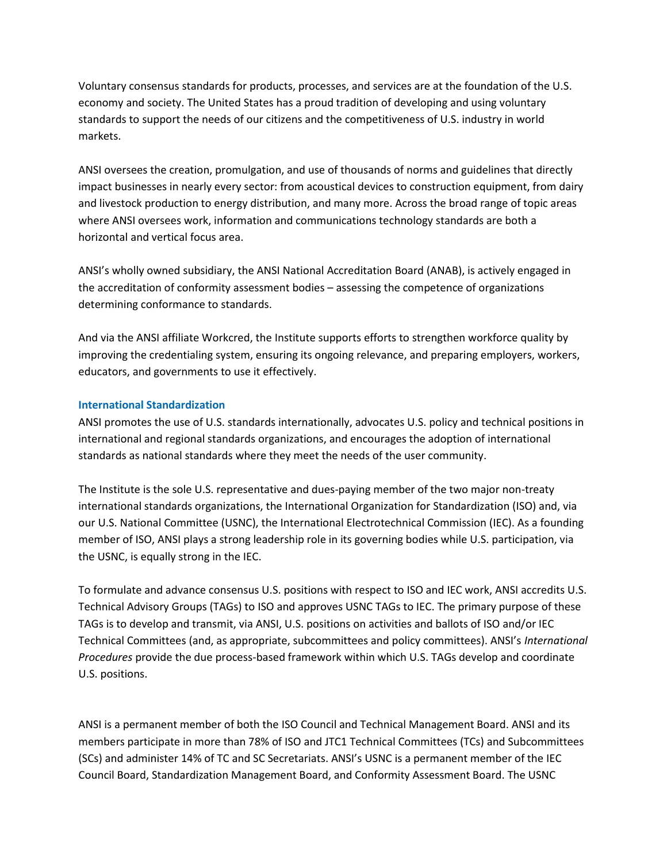Voluntary consensus standards for products, processes, and services are at the foundation of the U.S. economy and society. The United States has a proud tradition of developing and using voluntary standards to support the needs of our citizens and the competitiveness of U.S. industry in world markets.

ANSI oversees the creation, promulgation, and use of thousands of norms and guidelines that directly impact businesses in nearly every sector: from acoustical devices to construction equipment, from dairy and livestock production to energy distribution, and many more. Across the broad range of topic areas where ANSI oversees work, information and communications technology standards are both a horizontal and vertical focus area.

ANSI's wholly owned subsidiary, the ANSI National Accreditation Board (ANAB), is actively engaged in the accreditation of conformity assessment bodies – assessing the competence of organizations determining conformance to standards.

And via the ANSI affiliate Workcred, the Institute supports efforts to strengthen workforce quality by improving the credentialing system, ensuring its ongoing relevance, and preparing employers, workers, educators, and governments to use it effectively.

## **International Standardization**

ANSI promotes the use of U.S. standards internationally, advocates U.S. policy and technical positions in international and regional standards organizations, and encourages the adoption of international standards as national standards where they meet the needs of the user community.

The Institute is the sole U.S. representative and dues-paying member of the two major non-treaty international standards organizations, the International Organization for Standardization (ISO) and, via our U.S. National Committee (USNC), the International Electrotechnical Commission (IEC). As a founding member of ISO, ANSI plays a strong leadership role in its governing bodies while U.S. participation, via the USNC, is equally strong in the IEC.

To formulate and advance consensus U.S. positions with respect to ISO and IEC work, ANSI accredits U.S. Technical Advisory Groups (TAGs) to ISO and approves USNC TAGs to IEC. The primary purpose of these TAGs is to develop and transmit, via ANSI, U.S. positions on activities and ballots of ISO and/or IEC Technical Committees (and, as appropriate, subcommittees and policy committees). ANSI's *International Procedures* provide the due process-based framework within which U.S. TAGs develop and coordinate U.S. positions.

ANSI is a permanent member of both the ISO Council and Technical Management Board. ANSI and its members participate in more than 78% of ISO and JTC1 Technical Committees (TCs) and Subcommittees (SCs) and administer 14% of TC and SC Secretariats. ANSI's USNC is a permanent member of the IEC Council Board, Standardization Management Board, and Conformity Assessment Board. The USNC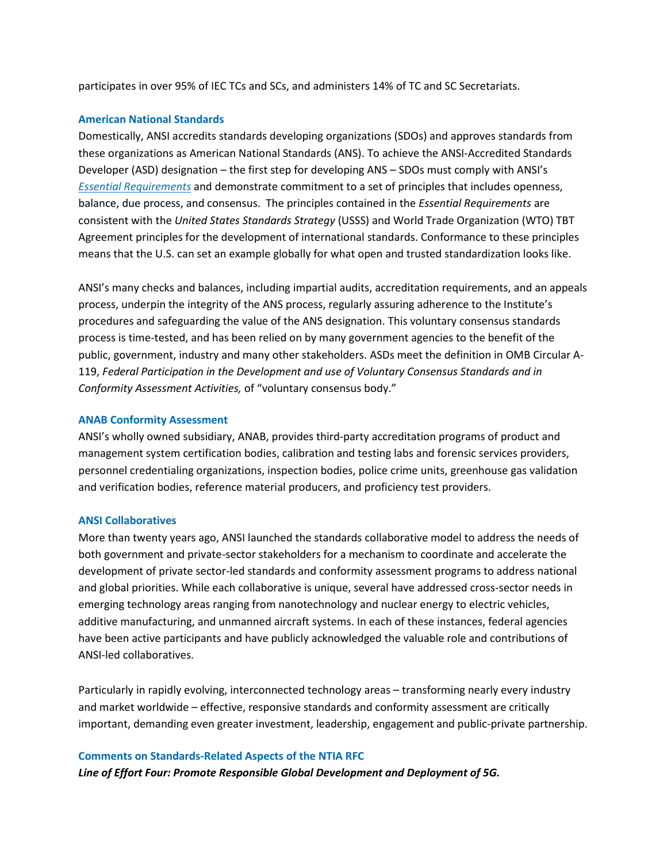participates in over 95% of IEC TCs and SCs, and administers 14% of TC and SC Secretariats.

## **American National Standards**

Domestically, ANSI accredits standards developing organizations (SDOs) and approves standards from these organizations as American National Standards (ANS). To achieve the ANSI-Accredited Standards Developer (ASD) designation – the first step for developing ANS – SDOs must comply with ANSI's *[Essential Requirements](http://www.ansi.org/essentialrequirements)* and demonstrate commitment to a set of principles that includes openness, balance, due process, and consensus. The principles contained in the *Essential Requirements* are consistent with the *United States Standards Strategy* (USSS) and World Trade Organization (WTO) TBT Agreement principles for the development of international standards. Conformance to these principles means that the U.S. can set an example globally for what open and trusted standardization looks like.

ANSI's many checks and balances, including impartial audits, accreditation requirements, and an appeals process, underpin the integrity of the ANS process, regularly assuring adherence to the Institute's procedures and safeguarding the value of the ANS designation. This voluntary consensus standards process is time-tested, and has been relied on by many government agencies to the benefit of the public, government, industry and many other stakeholders. ASDs meet the definition in OMB Circular A-119, *Federal Participation in the Development and use of Voluntary Consensus Standards and in Conformity Assessment Activities,* of "voluntary consensus body."

## **ANAB Conformity Assessment**

ANSI's wholly owned subsidiary, ANAB, provides third-party accreditation programs of product and management system certification bodies, calibration and testing labs and forensic services providers, personnel credentialing organizations, inspection bodies, police crime units, greenhouse gas validation and verification bodies, reference material producers, and proficiency test providers.

#### **ANSI Collaboratives**

More than twenty years ago, ANSI launched the standards collaborative model to address the needs of both government and private-sector stakeholders for a mechanism to coordinate and accelerate the development of private sector-led standards and conformity assessment programs to address national and global priorities. While each collaborative is unique, several have addressed cross-sector needs in emerging technology areas ranging from nanotechnology and nuclear energy to electric vehicles, additive manufacturing, and unmanned aircraft systems. In each of these instances, federal agencies have been active participants and have publicly acknowledged the valuable role and contributions of ANSI-led collaboratives.

Particularly in rapidly evolving, interconnected technology areas – transforming nearly every industry and market worldwide – effective, responsive standards and conformity assessment are critically important, demanding even greater investment, leadership, engagement and public-private partnership.

#### **Comments on Standards-Related Aspects of the NTIA RFC**

*Line of Effort Four: Promote Responsible Global Development and Deployment of 5G.*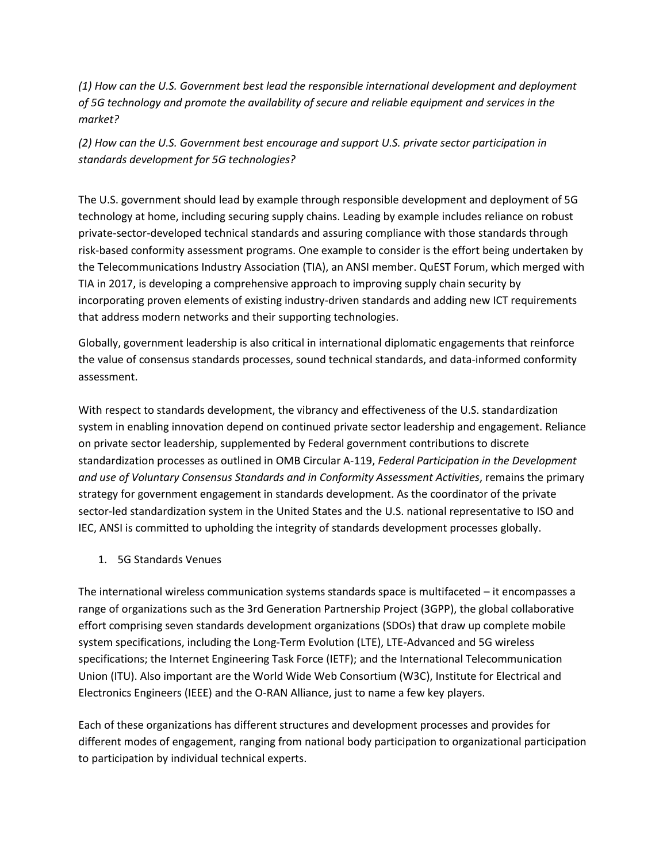*(1) How can the U.S. Government best lead the responsible international development and deployment of 5G technology and promote the availability of secure and reliable equipment and services in the market?* 

*(2) How can the U.S. Government best encourage and support U.S. private sector participation in standards development for 5G technologies?*

The U.S. government should lead by example through responsible development and deployment of 5G technology at home, including securing supply chains. Leading by example includes reliance on robust private-sector-developed technical standards and assuring compliance with those standards through risk-based conformity assessment programs. One example to consider is the effort being undertaken by the Telecommunications Industry Association (TIA), an ANSI member. QuEST Forum, which merged with TIA in 2017, is developing a comprehensive approach to improving supply chain security by incorporating proven elements of existing industry-driven standards and adding new ICT requirements that address modern networks and their supporting technologies.

Globally, government leadership is also critical in international diplomatic engagements that reinforce the value of consensus standards processes, sound technical standards, and data-informed conformity assessment.

With respect to standards development, the vibrancy and effectiveness of the U.S. standardization system in enabling innovation depend on continued private sector leadership and engagement. Reliance on private sector leadership, supplemented by Federal government contributions to discrete standardization processes as outlined in OMB Circular A-119, *Federal Participation in the Development and use of Voluntary Consensus Standards and in Conformity Assessment Activities*, remains the primary strategy for government engagement in standards development. As the coordinator of the private sector-led standardization system in the United States and the U.S. national representative to ISO and IEC, ANSI is committed to upholding the integrity of standards development processes globally.

1. 5G Standards Venues

The international wireless communication systems standards space is multifaceted – it encompasses a range of organizations such as the 3rd Generation Partnership Project (3GPP), the global collaborative effort comprising seven standards development organizations (SDOs) that draw up complete mobile system specifications, including the Long-Term Evolution (LTE), LTE-Advanced and 5G wireless specifications; the Internet Engineering Task Force (IETF); and the International Telecommunication Union (ITU). Also important are the World Wide Web Consortium (W3C), Institute for Electrical and Electronics Engineers (IEEE) and the O-RAN Alliance, just to name a few key players.

Each of these organizations has different structures and development processes and provides for different modes of engagement, ranging from national body participation to organizational participation to participation by individual technical experts.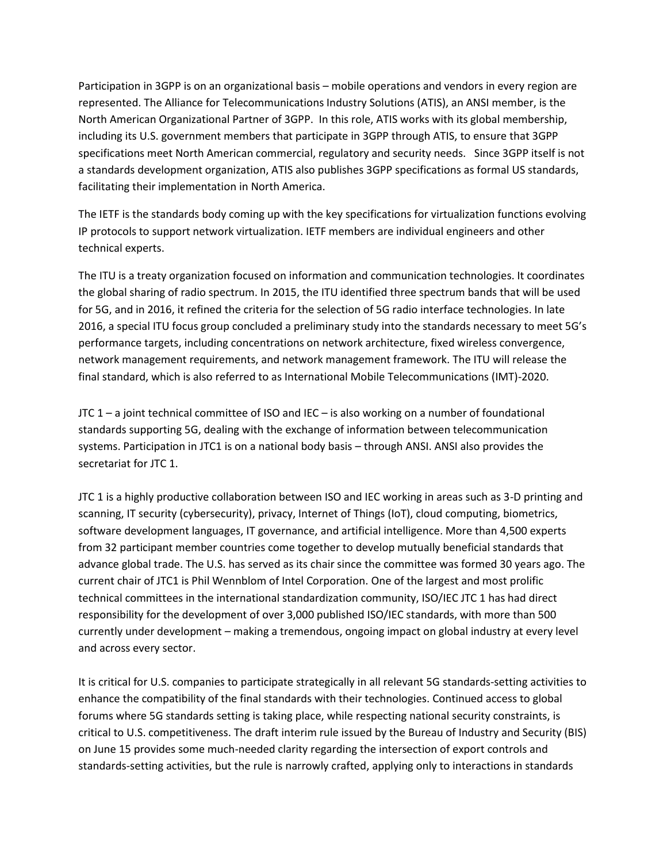Participation in 3GPP is on an organizational basis – mobile operations and vendors in every region are represented. The Alliance for Telecommunications Industry Solutions (ATIS), an ANSI member, is the North American Organizational Partner of 3GPP. In this role, ATIS works with its global membership, including its U.S. government members that participate in 3GPP through ATIS, to ensure that 3GPP specifications meet North American commercial, regulatory and security needs. Since 3GPP itself is not a standards development organization, ATIS also publishes 3GPP specifications as formal US standards, facilitating their implementation in North America.

The IETF is the standards body coming up with the key specifications for virtualization functions evolving IP protocols to support network virtualization. IETF members are individual engineers and other technical experts.

The ITU is a treaty organization focused on information and communication technologies. It coordinates the global sharing of radio spectrum. In 2015, the ITU identified three spectrum bands that will be used for 5G, and in 2016, it refined the criteria for the selection of 5G radio interface technologies. In late 2016, a special ITU focus group concluded a preliminary study into the standards necessary to meet 5G's performance targets, including concentrations on network architecture, fixed wireless convergence, network management requirements, and network management framework. The ITU will release the final standard, which is also referred to as International Mobile Telecommunications (IMT)-2020.

JTC 1 – a joint technical committee of ISO and IEC – is also working on a number of foundational standards supporting 5G, dealing with the exchange of information between telecommunication systems. Participation in JTC1 is on a national body basis – through ANSI. ANSI also provides the secretariat for JTC 1.

JTC 1 is a highly productive collaboration between ISO and IEC working in areas such as 3-D printing and scanning, IT security (cybersecurity), privacy, Internet of Things (IoT), cloud computing, biometrics, software development languages, IT governance, and artificial intelligence. More than 4,500 experts from 32 participant member countries come together to develop mutually beneficial standards that advance global trade. The U.S. has served as its chair since the committee was formed 30 years ago. The current chair of JTC1 is Phil Wennblom of Intel Corporation. One of the largest and most prolific technical committees in the international standardization community, ISO/IEC JTC 1 has had direct responsibility for the development of over 3,000 published ISO/IEC standards, with more than 500 currently under development – making a tremendous, ongoing impact on global industry at every level and across every sector.

It is critical for U.S. companies to participate strategically in all relevant 5G standards-setting activities to enhance the compatibility of the final standards with their technologies. Continued access to global forums where 5G standards setting is taking place, while respecting national security constraints, is critical to U.S. competitiveness. The draft interim rule issued by the Bureau of Industry and Security (BIS) on June 15 provides some much-needed clarity regarding the intersection of export controls and standards-setting activities, but the rule is narrowly crafted, applying only to interactions in standards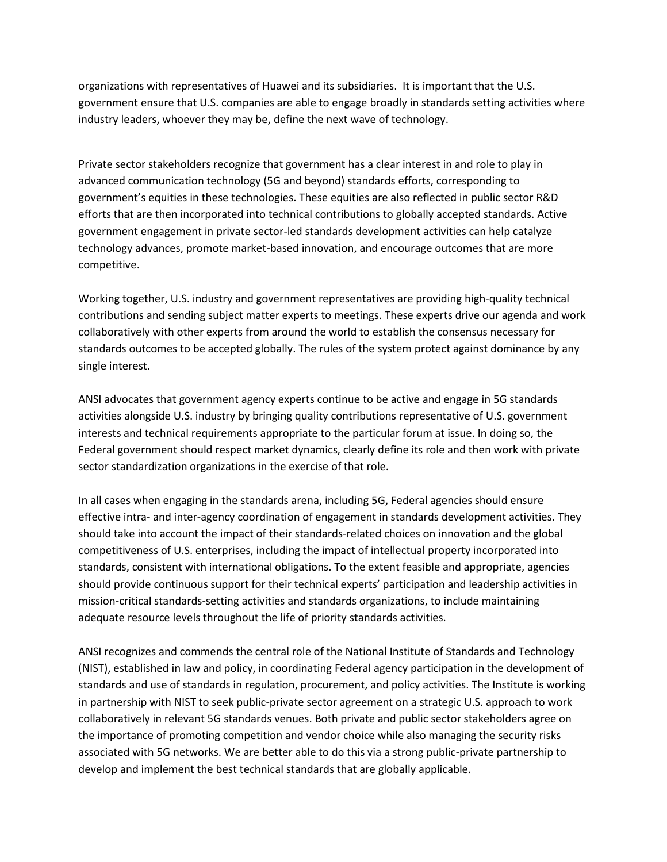organizations with representatives of Huawei and its subsidiaries. It is important that the U.S. government ensure that U.S. companies are able to engage broadly in standards setting activities where industry leaders, whoever they may be, define the next wave of technology.

Private sector stakeholders recognize that government has a clear interest in and role to play in advanced communication technology (5G and beyond) standards efforts, corresponding to government's equities in these technologies. These equities are also reflected in public sector R&D efforts that are then incorporated into technical contributions to globally accepted standards. Active government engagement in private sector-led standards development activities can help catalyze technology advances, promote market-based innovation, and encourage outcomes that are more competitive.

Working together, U.S. industry and government representatives are providing high-quality technical contributions and sending subject matter experts to meetings. These experts drive our agenda and work collaboratively with other experts from around the world to establish the consensus necessary for standards outcomes to be accepted globally. The rules of the system protect against dominance by any single interest.

ANSI advocates that government agency experts continue to be active and engage in 5G standards activities alongside U.S. industry by bringing quality contributions representative of U.S. government interests and technical requirements appropriate to the particular forum at issue. In doing so, the Federal government should respect market dynamics, clearly define its role and then work with private sector standardization organizations in the exercise of that role.

In all cases when engaging in the standards arena, including 5G, Federal agencies should ensure effective intra- and inter-agency coordination of engagement in standards development activities. They should take into account the impact of their standards-related choices on innovation and the global competitiveness of U.S. enterprises, including the impact of intellectual property incorporated into standards, consistent with international obligations. To the extent feasible and appropriate, agencies should provide continuous support for their technical experts' participation and leadership activities in mission-critical standards-setting activities and standards organizations, to include maintaining adequate resource levels throughout the life of priority standards activities.

ANSI recognizes and commends the central role of the National Institute of Standards and Technology (NIST), established in law and policy, in coordinating Federal agency participation in the development of standards and use of standards in regulation, procurement, and policy activities. The Institute is working in partnership with NIST to seek public-private sector agreement on a strategic U.S. approach to work collaboratively in relevant 5G standards venues. Both private and public sector stakeholders agree on the importance of promoting competition and vendor choice while also managing the security risks associated with 5G networks. We are better able to do this via a strong public-private partnership to develop and implement the best technical standards that are globally applicable.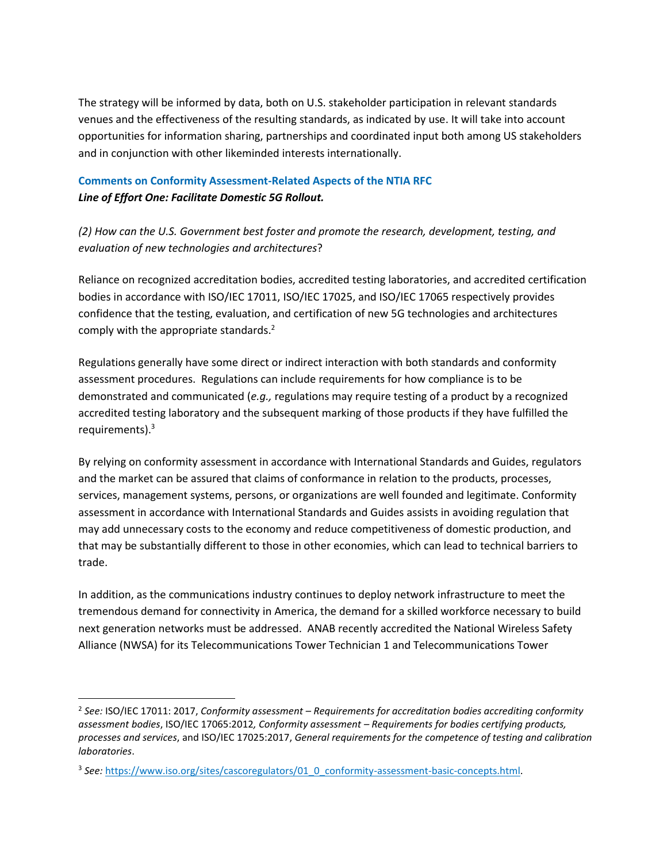The strategy will be informed by data, both on U.S. stakeholder participation in relevant standards venues and the effectiveness of the resulting standards, as indicated by use. It will take into account opportunities for information sharing, partnerships and coordinated input both among US stakeholders and in conjunction with other likeminded interests internationally.

# **Comments on Conformity Assessment-Related Aspects of the NTIA RFC** *Line of Effort One: Facilitate Domestic 5G Rollout.*

*(2) How can the U.S. Government best foster and promote the research, development, testing, and evaluation of new technologies and architectures*?

Reliance on recognized accreditation bodies, accredited testing laboratories, and accredited certification bodies in accordance with ISO/IEC 17011, ISO/IEC 17025, and ISO/IEC 17065 respectively provides confidence that the testing, evaluation, and certification of new 5G technologies and architectures comply with the appropriate standards.<sup>2</sup>

Regulations generally have some direct or indirect interaction with both standards and conformity assessment procedures. Regulations can include requirements for how compliance is to be demonstrated and communicated (*e.g.,* regulations may require testing of a product by a recognized accredited testing laboratory and the subsequent marking of those products if they have fulfilled the requirements).<sup>3</sup>

By relying on conformity assessment in accordance with International Standards and Guides, regulators and the market can be assured that claims of conformance in relation to the products, processes, services, management systems, persons, or organizations are well founded and legitimate. Conformity assessment in accordance with International Standards and Guides assists in avoiding regulation that may add unnecessary costs to the economy and reduce competitiveness of domestic production, and that may be substantially different to those in other economies, which can lead to technical barriers to trade.

In addition, as the communications industry continues to deploy network infrastructure to meet the tremendous demand for connectivity in America, the demand for a skilled workforce necessary to build next generation networks must be addressed. ANAB recently accredited the National Wireless Safety Alliance (NWSA) for its Telecommunications Tower Technician 1 and Telecommunications Tower

 $\overline{\phantom{a}}$ 

<sup>2</sup> *See:* ISO/IEC 17011: 2017, *Conformity assessment – Requirements for accreditation bodies accrediting conformity assessment bodies*, ISO/IEC 17065:2012*, Conformity assessment – Requirements for bodies certifying products, processes and services*, and ISO/IEC 17025:2017, *General requirements for the competence of testing and calibration laboratories*.

<sup>&</sup>lt;sup>3</sup> See: [https://www.iso.org/sites/cascoregulators/01\\_0\\_conformity-assessment-basic-concepts.html.](https://www.iso.org/sites/cascoregulators/01_0_conformity-assessment-basic-concepts.html)